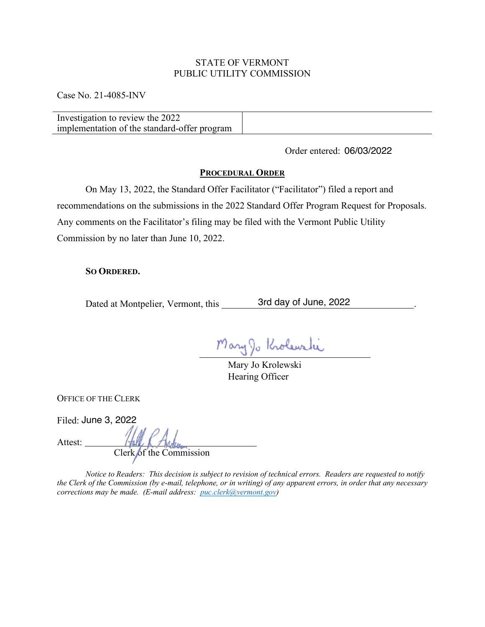## STATE OF VERMONT PUBLIC UTILITY COMMISSION

Case No. 21-4085-INV

| implementation of the standard-offer program |  |
|----------------------------------------------|--|

Order entered: 06/03/2022

## **PROCEDURAL ORDER**

On May 13, 2022, the Standard Offer Facilitator ("Facilitator") filed a report and recommendations on the submissions in the 2022 Standard Offer Program Request for Proposals. Any comments on the Facilitator's filing may be filed with the Vermont Public Utility Commission by no later than June 10, 2022.

## **SO ORDERED.**

Dated at Montpelier, Vermont, this \_\_\_\_\_\_\_ 3rd day of June, 2022

Mary Jo Krolewski

Mary Jo Krolewski Hearing Officer

OFFICE OF THE CLERK

Filed: June 3, 2022

Attest:

Clerk of the Commission

*Notice to Readers: This decision is subject to revision of technical errors. Readers are requested to notify the Clerk of the Commission (by e-mail, telephone, or in writing) of any apparent errors, in order that any necessary corrections may be made. (E-mail address: puc.clerk@vermont.gov)*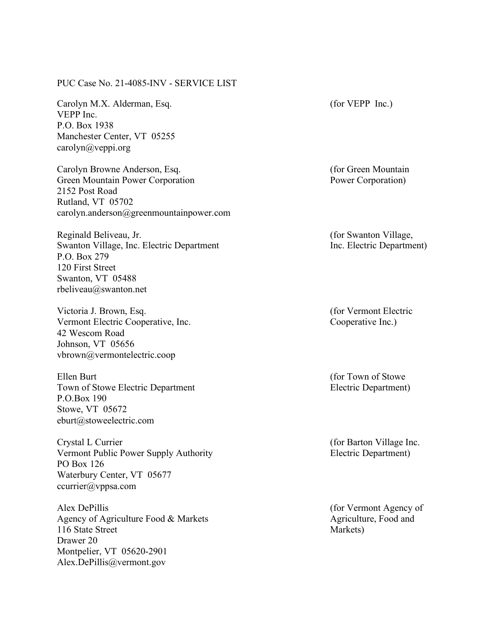PUC Case No. 21-4085-INV - SERVICE LIST

Carolyn M.X. Alderman, Esq. VEPP Inc. P.O. Box 1938 Manchester Center, VT 05255 carolyn@veppi.org

Carolyn Browne Anderson, Esq. Green Mountain Power Corporation 2152 Post Road Rutland, VT 05702 carolyn.anderson@greenmountainpower.com

Reginald Beliveau, Jr. Swanton Village, Inc. Electric Department P.O. Box 279 120 First Street Swanton, VT 05488 rbeliveau@swanton.net

Victoria J. Brown, Esq. Vermont Electric Cooperative, Inc. 42 Wescom Road Johnson, VT 05656 vbrown@vermontelectric.coop

Ellen Burt Town of Stowe Electric Department P.O.Box 190 Stowe, VT 05672 eburt@stoweelectric.com

Crystal L Currier Vermont Public Power Supply Authority PO Box 126 Waterbury Center, VT 05677 ccurrier@vppsa.com

Alex DePillis Agency of Agriculture Food & Markets 116 State Street Drawer 20 Montpelier, VT 05620-2901 Alex.DePillis@vermont.gov

(for VEPP Inc.)

(for Green Mountain Power Corporation)

(for Swanton Village, Inc. Electric Department)

(for Vermont Electric Cooperative Inc.)

(for Town of Stowe Electric Department)

(for Barton Village Inc. Electric Department)

(for Vermont Agency of Agriculture, Food and Markets)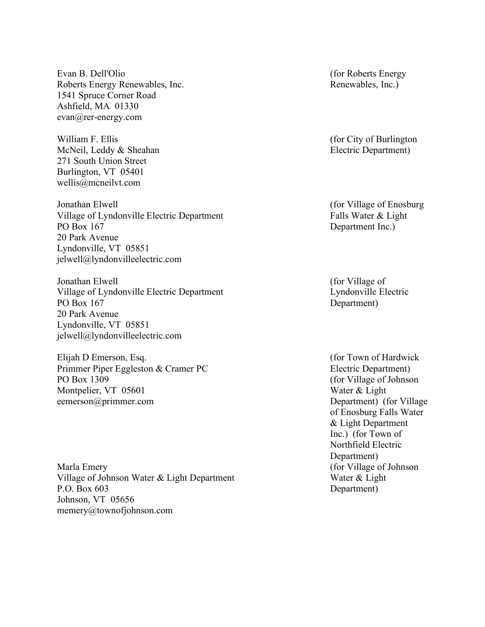Evan B. Dell'Olio Roberts Energy Renewables, Inc. 1541 Spruce Corner Road Ashfield, MA 01330 evan@rer-energy.com

William F. Ellis McNeil, Leddy & Sheahan 271 South Union Street Burlington, VT 05401 wellis@mcneilvt.com

Jonathan Elwell Village of Lyndonville Electric Department PO Box 167 20 Park Avenue Lyndonville, VT 05851 jelwell@lyndonvilleelectric.com

Jonathan Elwell Village of Lyndonville Electric Department PO Box 167 20 Park Avenue Lyndonville, VT 05851 jelwell@lyndonvilleelectric.com

Elijah D Emerson, Esq. Primmer Piper Eggleston & Cramer PC PO Box 1309 Montpelier, VT 05601 eemerson@primmer.com

Marla Emery Village of Johnson Water & Light Department P.O. Box 603 Johnson, VT 05656 memery@townofjohnson.com

(for Roberts Energy Renewables, Inc.)

(for City of Burlington Electric Department)

(for Village of Enosburg Falls Water & Light Department Inc.)

(for Village of Lyndonville Electric Department)

(for Town of Hardwick Electric Department) (for Village of Johnson Water & Light Department) (for Village of Enosburg Falls Water & Light Department Inc.) (for Town of Northfield Electric Department) (for Village of Johnson Water & Light Department)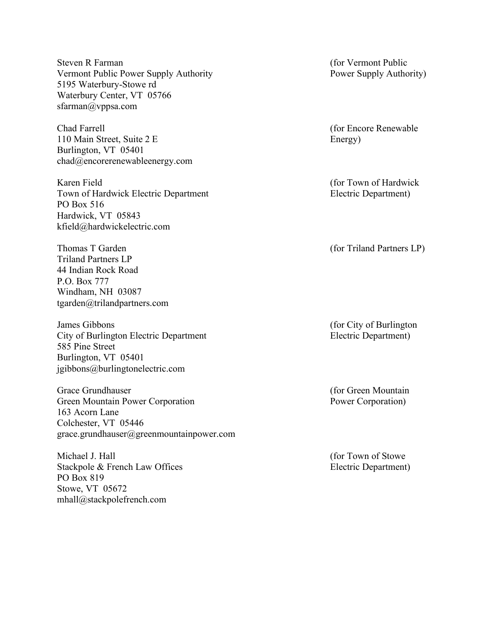Steven R Farman Vermont Public Power Supply Authority 5195 Waterbury-Stowe rd Waterbury Center, VT 05766 sfarman@vppsa.com

Chad Farrell 110 Main Street, Suite 2 E Burlington, VT 05401 chad@encorerenewableenergy.com

Karen Field Town of Hardwick Electric Department PO Box 516 Hardwick, VT 05843 kfield@hardwickelectric.com

Thomas T Garden Triland Partners LP 44 Indian Rock Road P.O. Box 777 Windham, NH 03087 tgarden@trilandpartners.com

James Gibbons City of Burlington Electric Department 585 Pine Street Burlington, VT 05401 jgibbons@burlingtonelectric.com

Grace Grundhauser Green Mountain Power Corporation 163 Acorn Lane Colchester, VT 05446 grace.grundhauser@greenmountainpower.com

Michael J. Hall Stackpole & French Law Offices PO Box 819 Stowe, VT 05672 mhall@stackpolefrench.com

(for Vermont Public Power Supply Authority)

(for Encore Renewable Energy)

(for Town of Hardwick Electric Department)

(for Triland Partners LP)

(for City of Burlington Electric Department)

(for Green Mountain Power Corporation)

(for Town of Stowe Electric Department)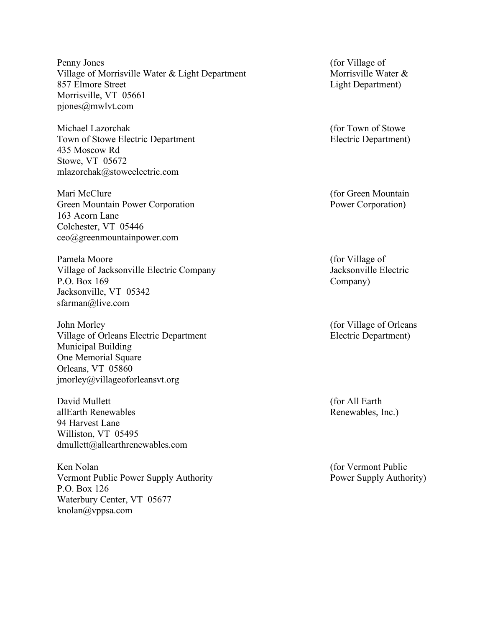Penny Jones Village of Morrisville Water & Light Department 857 Elmore Street Morrisville, VT 05661 pjones@mwlvt.com

Michael Lazorchak Town of Stowe Electric Department 435 Moscow Rd Stowe, VT 05672 mlazorchak@stoweelectric.com

Mari McClure Green Mountain Power Corporation 163 Acorn Lane Colchester, VT 05446 ceo@greenmountainpower.com

Pamela Moore Village of Jacksonville Electric Company P.O. Box 169 Jacksonville, VT 05342 sfarman@live.com

John Morley Village of Orleans Electric Department Municipal Building One Memorial Square Orleans, VT 05860 jmorley@villageoforleansvt.org

David Mullett allEarth Renewables 94 Harvest Lane Williston, VT 05495 dmullett@allearthrenewables.com

Ken Nolan Vermont Public Power Supply Authority P.O. Box 126 Waterbury Center, VT 05677 knolan@vppsa.com

(for Village of Morrisville Water & Light Department)

(for Town of Stowe Electric Department)

(for Green Mountain Power Corporation)

(for Village of Jacksonville Electric Company)

(for Village of Orleans Electric Department)

(for All Earth Renewables, Inc.)

(for Vermont Public Power Supply Authority)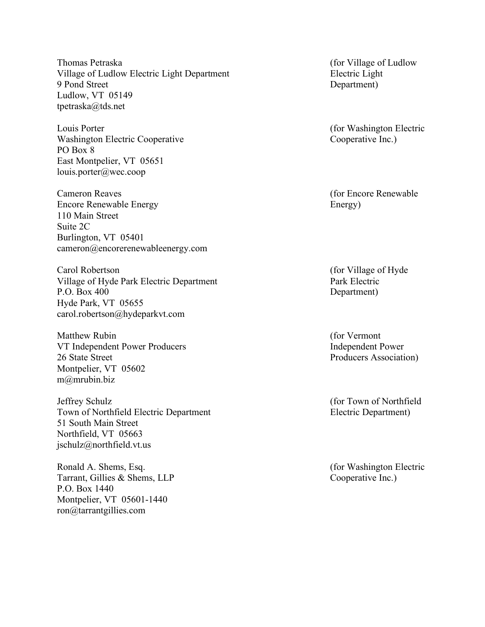Thomas Petraska Village of Ludlow Electric Light Department 9 Pond Street Ludlow, VT 05149 tpetraska@tds.net

Louis Porter Washington Electric Cooperative PO Box 8 East Montpelier, VT 05651 louis.porter@wec.coop

Cameron Reaves Encore Renewable Energy 110 Main Street Suite 2C Burlington, VT 05401 cameron@encorerenewableenergy.com

Carol Robertson Village of Hyde Park Electric Department P.O. Box 400 Hyde Park, VT 05655 carol.robertson@hydeparkvt.com

Matthew Rubin VT Independent Power Producers 26 State Street Montpelier, VT 05602 m@mrubin.biz

Jeffrey Schulz Town of Northfield Electric Department 51 South Main Street Northfield, VT 05663 jschulz@northfield.vt.us

Ronald A. Shems, Esq. Tarrant, Gillies & Shems, LLP P.O. Box 1440 Montpelier, VT 05601-1440 ron@tarrantgillies.com

(for Village of Ludlow Electric Light Department)

(for Washington Electric Cooperative Inc.)

(for Encore Renewable Energy)

(for Village of Hyde Park Electric Department)

(for Vermont Independent Power Producers Association)

(for Town of Northfield Electric Department)

(for Washington Electric Cooperative Inc.)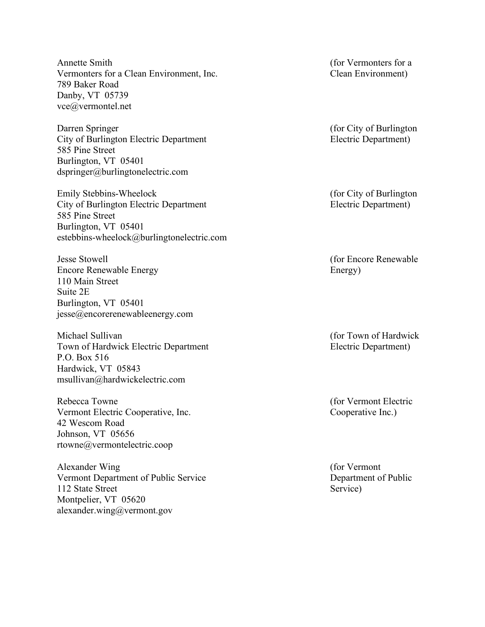Annette Smith Vermonters for a Clean Environment, Inc. 789 Baker Road Danby, VT 05739 vce@vermontel.net

Darren Springer City of Burlington Electric Department 585 Pine Street Burlington, VT 05401 dspringer@burlingtonelectric.com

Emily Stebbins-Wheelock City of Burlington Electric Department 585 Pine Street Burlington, VT 05401 estebbins-wheelock@burlingtonelectric.com

Jesse Stowell Encore Renewable Energy 110 Main Street Suite 2E Burlington, VT 05401 jesse@encorerenewableenergy.com

Michael Sullivan Town of Hardwick Electric Department P.O. Box 516 Hardwick, VT 05843 msullivan@hardwickelectric.com

Rebecca Towne Vermont Electric Cooperative, Inc. 42 Wescom Road Johnson, VT 05656 rtowne@vermontelectric.coop

Alexander Wing Vermont Department of Public Service 112 State Street Montpelier, VT 05620 alexander.wing@vermont.gov

(for Vermonters for a Clean Environment)

(for City of Burlington Electric Department)

(for City of Burlington Electric Department)

(for Encore Renewable Energy)

(for Town of Hardwick Electric Department)

(for Vermont Electric Cooperative Inc.)

(for Vermont Department of Public Service)